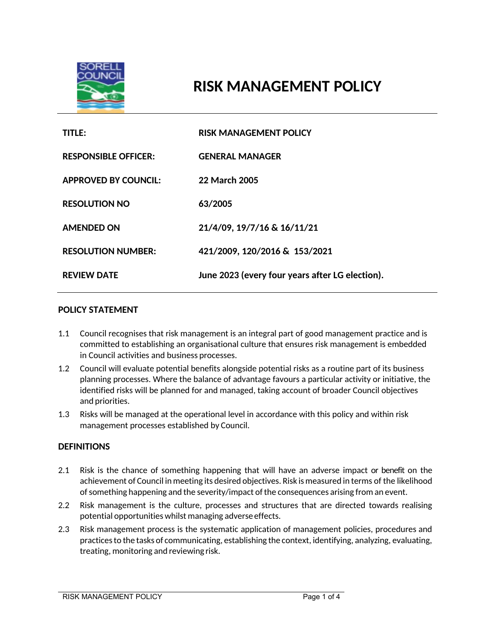

# **RISK MANAGEMENT POLICY**

| TITLE:                      | <b>RISK MANAGEMENT POLICY</b>                   |
|-----------------------------|-------------------------------------------------|
| <b>RESPONSIBLE OFFICER:</b> | <b>GENERAL MANAGER</b>                          |
| <b>APPROVED BY COUNCIL:</b> | 22 March 2005                                   |
| <b>RESOLUTION NO</b>        | 63/2005                                         |
| <b>AMENDED ON</b>           | 21/4/09, 19/7/16 & 16/11/21                     |
| <b>RESOLUTION NUMBER:</b>   | 421/2009, 120/2016 & 153/2021                   |
| <b>REVIEW DATE</b>          | June 2023 (every four years after LG election). |

#### **POLICY STATEMENT**

- 1.1 Council recognises that risk management is an integral part of good management practice and is committed to establishing an organisational culture that ensures risk management is embedded in Council activities and business processes.
- 1.2 Council will evaluate potential benefits alongside potential risks as a routine part of its business planning processes. Where the balance of advantage favours a particular activity or initiative, the identified risks will be planned for and managed, taking account of broader Council objectives and priorities.
- 1.3 Risks will be managed at the operational level in accordance with this policy and within risk management processes established by Council.

#### **DEFINITIONS**

- 2.1 Risk is the chance of something happening that will have an adverse impact or benefit on the achievement of Council in meeting its desired objectives. Risk is measured in terms of the likelihood of something happening and the severity/impact of the consequences arising from an event.
- 2.2 Risk management is the culture, processes and structures that are directed towards realising potential opportunities whilst managing adverse effects.
- 2.3 Risk management process is the systematic application of management policies, procedures and practices to the tasks of communicating, establishing the context, identifying, analyzing, evaluating, treating, monitoring and reviewing risk.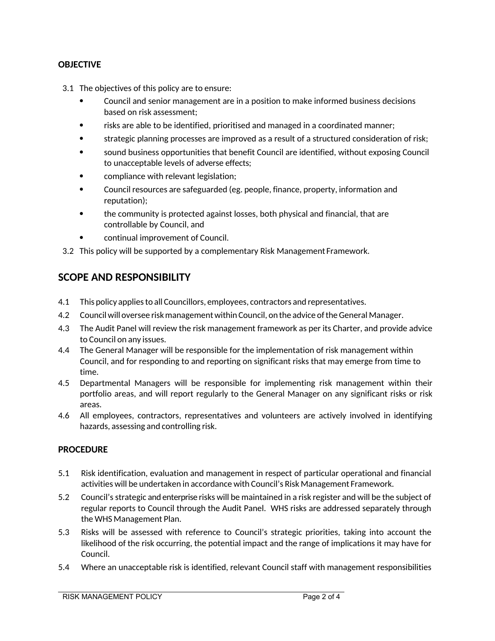#### **OBJECTIVE**

- 3.1 The objectives of this policy are to ensure:
	- Council and senior management are in a position to make informed business decisions based on risk assessment;
	- risks are able to be identified, prioritised and managed in a coordinated manner;
	- strategic planning processes are improved as a result of a structured consideration of risk;
	- sound business opportunities that benefit Council are identified, without exposing Council to unacceptable levels of adverse effects;
	- compliance with relevant legislation;
	- Council resources are safeguarded (eg. people, finance, property, information and reputation);
	- the community is protected against losses, both physical and financial, that are controllable by Council, and
	- continual improvement of Council.
- 3.2 This policy will be supported by a complementary Risk Management Framework.

## **SCOPE AND RESPONSIBILITY**

- 4.1 This policy applies to all Councillors, employees, contractors and representatives.
- 4.2 Council will oversee risk management within Council, on the advice of the General Manager.
- 4.3 The Audit Panel will review the risk management framework as per its Charter, and provide advice to Council on any issues.
- 4.4 The General Manager will be responsible for the implementation of risk management within Council, and for responding to and reporting on significant risks that may emerge from time to time.
- 4.5 Departmental Managers will be responsible for implementing risk management within their portfolio areas, and will report regularly to the General Manager on any significant risks or risk areas.
- 4.6 All employees, contractors, representatives and volunteers are actively involved in identifying hazards, assessing and controlling risk.

#### **PROCEDURE**

- 5.1 Risk identification, evaluation and management in respect of particular operational and financial activities will be undertaken in accordance with Council's Risk Management Framework.
- 5.2 Council's strategic and enterprise risks will be maintained in a risk register and will be the subject of regular reports to Council through the Audit Panel. WHS risks are addressed separately through the WHS Management Plan.
- 5.3 Risks will be assessed with reference to Council's strategic priorities, taking into account the likelihood of the risk occurring, the potential impact and the range of implications it may have for Council.
- 5.4 Where an unacceptable risk is identified, relevant Council staff with management responsibilities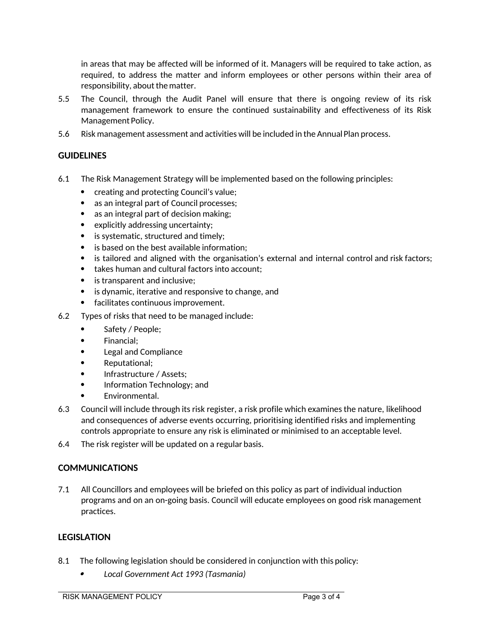in areas that may be affected will be informed of it. Managers will be required to take action, as required, to address the matter and inform employees or other persons within their area of responsibility, about thematter.

- 5.5 The Council, through the Audit Panel will ensure that there is ongoing review of its risk management framework to ensure the continued sustainability and effectiveness of its Risk Management Policy.
- 5.6 Risk management assessment and activities will be included in the Annual Plan process.

## **GUIDELINES**

- 6.1 The Risk Management Strategy will be implemented based on the following principles:
	- creating and protecting Council's value;
	- as an integral part of Council processes;
	- as an integral part of decision making;
	- explicitly addressing uncertainty;
	- is systematic, structured and timely;
	- is based on the best available information;
	- is tailored and aligned with the organisation's external and internal control and risk factors;
	- takes human and cultural factors into account:
	- is transparent and inclusive:
	- is dynamic, iterative and responsive to change, and
	- facilitates continuous improvement.
- 6.2 Types of risks that need to be managed include:
	- Safety / People;
	- Financial;
	- Legal and Compliance
	- Reputational;
	- Infrastructure / Assets;
	- Information Technology; and
	- Environmental.
- 6.3 Council will include through its risk register, a risk profile which examines the nature, likelihood and consequences of adverse events occurring, prioritising identified risks and implementing controls appropriate to ensure any risk is eliminated or minimised to an acceptable level.
- 6.4 The risk register will be updated on a regular basis.

## **COMMUNICATIONS**

7.1 All Councillors and employees will be briefed on this policy as part of individual induction programs and on an on-going basis. Council will educate employees on good risk management practices.

## **LEGISLATION**

- 8.1 The following legislation should be considered in conjunction with this policy:
	- . *Local Government Act 1993 (Tasmania)*